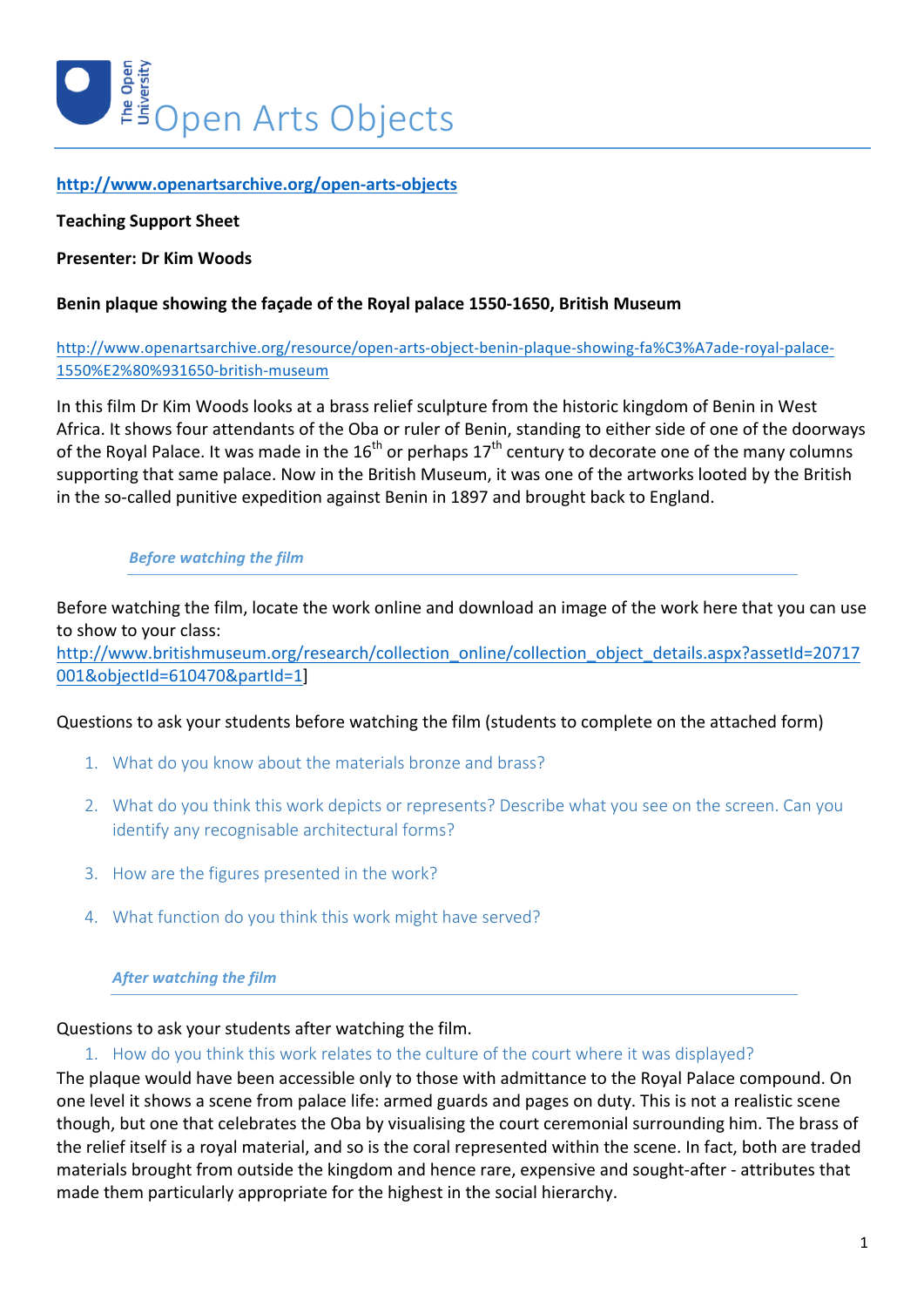

### **http://www.openartsarchive.org/open-arts-objects**

#### **Teaching Support Sheet**

#### **Presenter: Dr Kim Woods**

### **Benin plaque showing the façade of the Royal palace 1550-1650, British Museum**

### http://www.openartsarchive.org/resource/open-arts-object-benin-plaque-showing-fa%C3%A7ade-royal-palace-1550%E2%80%931650-british-museum

In this film Dr Kim Woods looks at a brass relief sculpture from the historic kingdom of Benin in West Africa. It shows four attendants of the Oba or ruler of Benin, standing to either side of one of the doorways of the Royal Palace. It was made in the  $16^{th}$  or perhaps  $17^{th}$  century to decorate one of the many columns supporting that same palace. Now in the British Museum, it was one of the artworks looted by the British in the so-called punitive expedition against Benin in 1897 and brought back to England.

#### **Before** watching the film

Before watching the film, locate the work online and download an image of the work here that you can use to show to your class:

http://www.britishmuseum.org/research/collection\_online/collection\_object\_details.aspx?assetId=20717 001&objectId=610470&partId=1]

#### Questions to ask your students before watching the film (students to complete on the attached form)

- 1. What do you know about the materials bronze and brass?
- 2. What do you think this work depicts or represents? Describe what you see on the screen. Can you identify any recognisable architectural forms?
- 3. How are the figures presented in the work?
- 4. What function do you think this work might have served?

#### **After watching the film**

#### Questions to ask your students after watching the film.

### 1. How do you think this work relates to the culture of the court where it was displayed?

The plaque would have been accessible only to those with admittance to the Royal Palace compound. On one level it shows a scene from palace life: armed guards and pages on duty. This is not a realistic scene though, but one that celebrates the Oba by visualising the court ceremonial surrounding him. The brass of the relief itself is a royal material, and so is the coral represented within the scene. In fact, both are traded materials brought from outside the kingdom and hence rare, expensive and sought-after - attributes that made them particularly appropriate for the highest in the social hierarchy.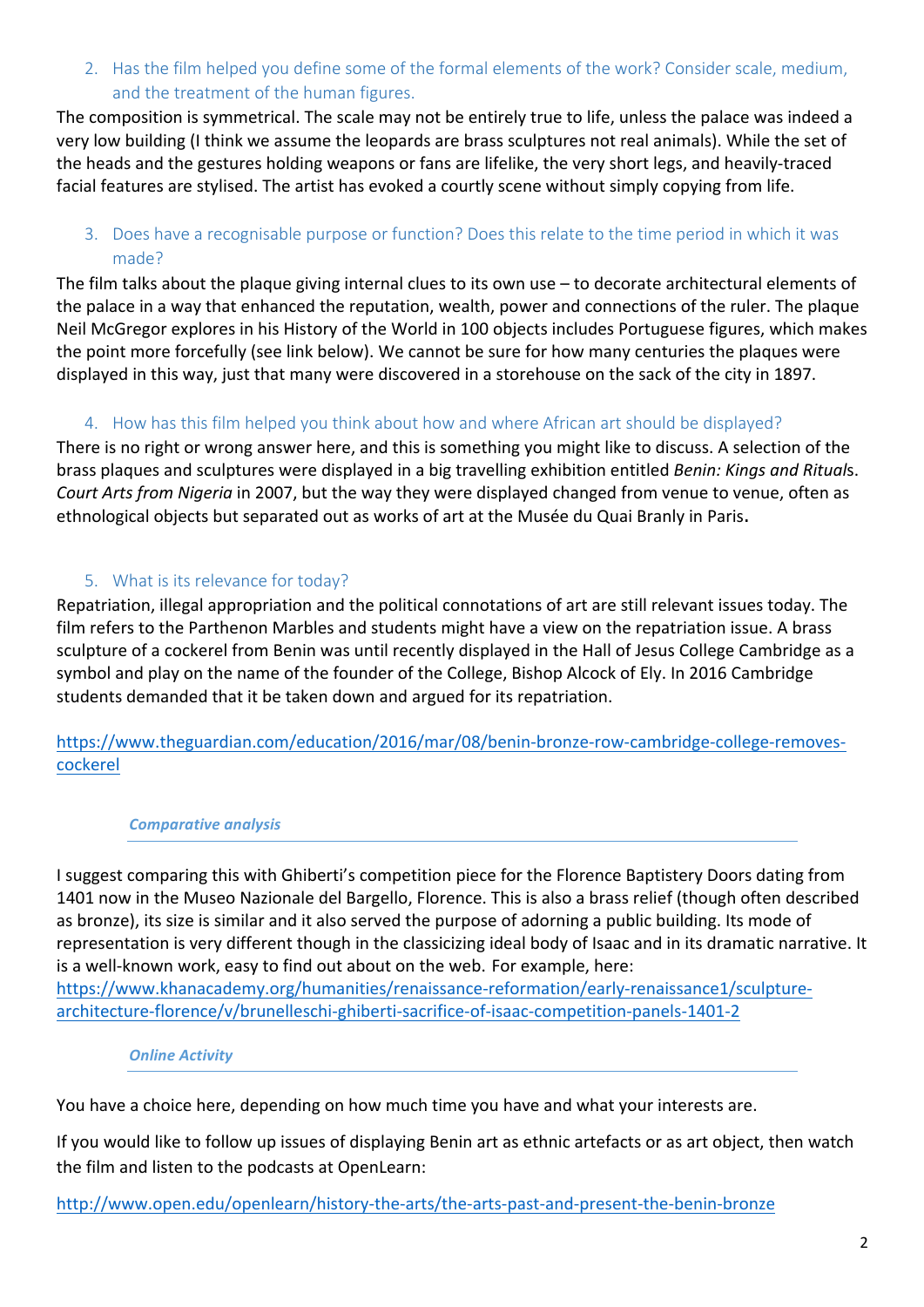2. Has the film helped you define some of the formal elements of the work? Consider scale, medium, and the treatment of the human figures.

The composition is symmetrical. The scale may not be entirely true to life, unless the palace was indeed a very low building (I think we assume the leopards are brass sculptures not real animals). While the set of the heads and the gestures holding weapons or fans are lifelike, the very short legs, and heavily-traced facial features are stylised. The artist has evoked a courtly scene without simply copying from life.

3. Does have a recognisable purpose or function? Does this relate to the time period in which it was made?

The film talks about the plaque giving internal clues to its own use  $-$  to decorate architectural elements of the palace in a way that enhanced the reputation, wealth, power and connections of the ruler. The plaque Neil McGregor explores in his History of the World in 100 objects includes Portuguese figures, which makes the point more forcefully (see link below). We cannot be sure for how many centuries the plaques were displayed in this way, just that many were discovered in a storehouse on the sack of the city in 1897.

# 4. How has this film helped you think about how and where African art should be displayed?

There is no right or wrong answer here, and this is something you might like to discuss. A selection of the brass plaques and sculptures were displayed in a big travelling exhibition entitled *Benin: Kings and Rituals*. *Court Arts from Nigeria* in 2007, but the way they were displayed changed from venue to venue, often as ethnological objects but separated out as works of art at the Musée du Quai Branly in Paris.

# 5. What is its relevance for today?

Repatriation, illegal appropriation and the political connotations of art are still relevant issues today. The film refers to the Parthenon Marbles and students might have a view on the repatriation issue. A brass sculpture of a cockerel from Benin was until recently displayed in the Hall of Jesus College Cambridge as a symbol and play on the name of the founder of the College, Bishop Alcock of Ely. In 2016 Cambridge students demanded that it be taken down and argued for its repatriation.

https://www.theguardian.com/education/2016/mar/08/benin-bronze-row-cambridge-college-removescockerel

# *Comparative analysis*

I suggest comparing this with Ghiberti's competition piece for the Florence Baptistery Doors dating from 1401 now in the Museo Nazionale del Bargello, Florence. This is also a brass relief (though often described as bronze), its size is similar and it also served the purpose of adorning a public building. Its mode of representation is very different though in the classicizing ideal body of Isaac and in its dramatic narrative. It is a well-known work, easy to find out about on the web. For example, here:

https://www.khanacademy.org/humanities/renaissance-reformation/early-renaissance1/sculpturearchitecture-florence/v/brunelleschi-ghiberti-sacrifice-of-isaac-competition-panels-1401-2

### *Online Activity*

You have a choice here, depending on how much time you have and what your interests are.

If you would like to follow up issues of displaying Benin art as ethnic artefacts or as art object, then watch the film and listen to the podcasts at OpenLearn:

http://www.open.edu/openlearn/history-the-arts/the-arts-past-and-present-the-benin-bronze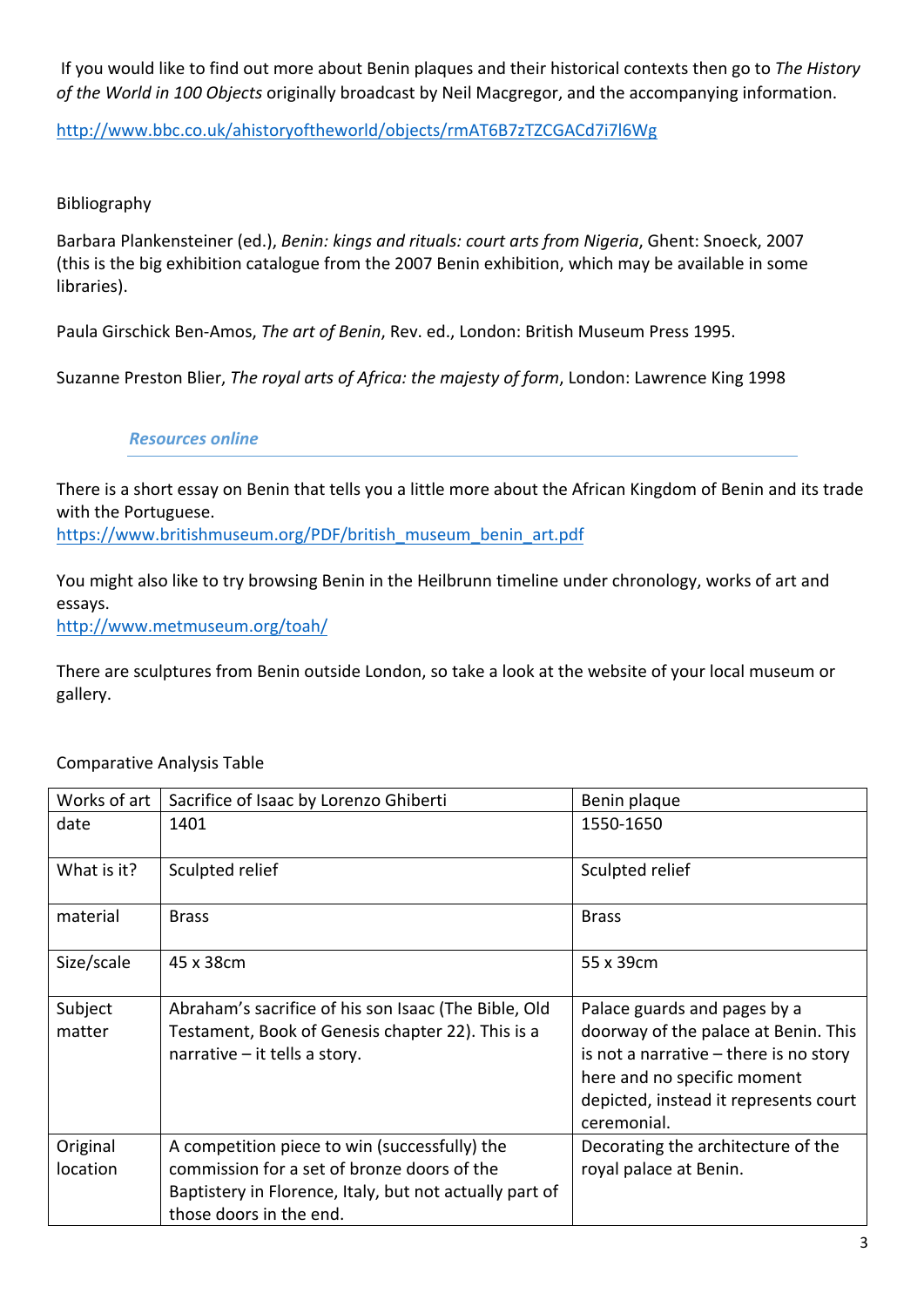If you would like to find out more about Benin plaques and their historical contexts then go to The History of the World in 100 Objects originally broadcast by Neil Macgregor, and the accompanying information.

http://www.bbc.co.uk/ahistoryoftheworld/objects/rmAT6B7zTZCGACd7i7l6Wg

# Bibliography

Barbara Plankensteiner (ed.), *Benin: kings and rituals: court arts from Nigeria*, Ghent: Snoeck, 2007 (this is the big exhibition catalogue from the 2007 Benin exhibition, which may be available in some libraries).

Paula Girschick Ben-Amos, *The art of Benin*, Rev. ed., London: British Museum Press 1995.

Suzanne Preston Blier, *The royal arts of Africa: the majesty of form*, London: Lawrence King 1998

# *Resources online*

There is a short essay on Benin that tells you a little more about the African Kingdom of Benin and its trade with the Portuguese.

https://www.britishmuseum.org/PDF/british\_museum\_benin\_art.pdf

You might also like to try browsing Benin in the Heilbrunn timeline under chronology, works of art and essays. http://www.metmuseum.org/toah/

There are sculptures from Benin outside London, so take a look at the website of your local museum or gallery. 

| Works of art         | Sacrifice of Isaac by Lorenzo Ghiberti                                                                                                                                             | Benin plaque                                                                                                                                                                                            |
|----------------------|------------------------------------------------------------------------------------------------------------------------------------------------------------------------------------|---------------------------------------------------------------------------------------------------------------------------------------------------------------------------------------------------------|
| date                 | 1401                                                                                                                                                                               | 1550-1650                                                                                                                                                                                               |
| What is it?          | Sculpted relief                                                                                                                                                                    | Sculpted relief                                                                                                                                                                                         |
| material             | <b>Brass</b>                                                                                                                                                                       | <b>Brass</b>                                                                                                                                                                                            |
| Size/scale           | 45 x 38cm                                                                                                                                                                          | 55 x 39cm                                                                                                                                                                                               |
| Subject<br>matter    | Abraham's sacrifice of his son Isaac (The Bible, Old<br>Testament, Book of Genesis chapter 22). This is a<br>narrative $-$ it tells a story.                                       | Palace guards and pages by a<br>doorway of the palace at Benin. This<br>is not a narrative $-$ there is no story<br>here and no specific moment<br>depicted, instead it represents court<br>ceremonial. |
| Original<br>location | A competition piece to win (successfully) the<br>commission for a set of bronze doors of the<br>Baptistery in Florence, Italy, but not actually part of<br>those doors in the end. | Decorating the architecture of the<br>royal palace at Benin.                                                                                                                                            |

Comparative Analysis Table